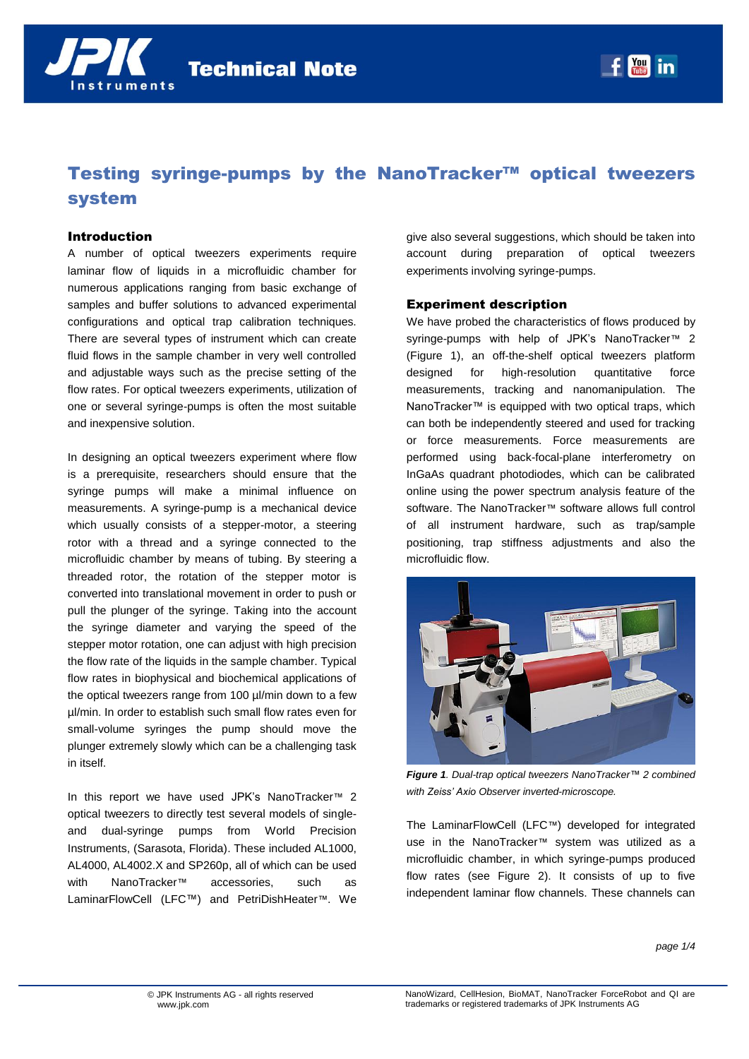

# Testing syringe-pumps by the NanoTracker™ optical tweezers system

### Introduction

A number of optical tweezers experiments require laminar flow of liquids in a microfluidic chamber for numerous applications ranging from basic exchange of samples and buffer solutions to advanced experimental configurations and optical trap calibration techniques. There are several types of instrument which can create fluid flows in the sample chamber in very well controlled and adjustable ways such as the precise setting of the flow rates. For optical tweezers experiments, utilization of one or several syringe-pumps is often the most suitable and inexpensive solution.

In designing an optical tweezers experiment where flow is a prerequisite, researchers should ensure that the syringe pumps will make a minimal influence on measurements. A syringe-pump is a mechanical device which usually consists of a stepper-motor, a steering rotor with a thread and a syringe connected to the microfluidic chamber by means of tubing. By steering a threaded rotor, the rotation of the stepper motor is converted into translational movement in order to push or pull the plunger of the syringe. Taking into the account the syringe diameter and varying the speed of the stepper motor rotation, one can adjust with high precision the flow rate of the liquids in the sample chamber. Typical flow rates in biophysical and biochemical applications of the optical tweezers range from 100 µl/min down to a few µl/min. In order to establish such small flow rates even for small-volume syringes the pump should move the plunger extremely slowly which can be a challenging task in itself.

In this report we have used JPK's NanoTracker*™* 2 optical tweezers to directly test several models of singleand dual-syringe pumps from World Precision Instruments, (Sarasota, Florida). These included AL1000, AL4000, AL4002.X and SP260p, all of which can be used with NanoTracker*™* accessories, such as LaminarFlowCell (LFC™) and PetriDishHeater*™*. We give also several suggestions, which should be taken into account during preparation of optical tweezers experiments involving syringe-pumps.

## Experiment description

We have probed the characteristics of flows produced by syringe-pumps with help of JPK's NanoTracker*™* 2 (Figure 1), an off-the-shelf optical tweezers platform designed for high-resolution quantitative force measurements, tracking and nanomanipulation. The NanoTracker™ is equipped with two optical traps, which can both be independently steered and used for tracking or force measurements. Force measurements are performed using back-focal-plane interferometry on InGaAs quadrant photodiodes, which can be calibrated online using the power spectrum analysis feature of the software. The NanoTracker*™* software allows full control of all instrument hardware, such as trap/sample positioning, trap stiffness adjustments and also the microfluidic flow.



*Figure 1. Dual-trap optical tweezers NanoTracker™ 2 combined with Zeiss' Axio Observer inverted-microscope.*

The LaminarFlowCell (LFC*™*) developed for integrated use in the NanoTracker*™* system was utilized as a microfluidic chamber, in which syringe-pumps produced flow rates (see Figure 2). It consists of up to five independent laminar flow channels. These channels can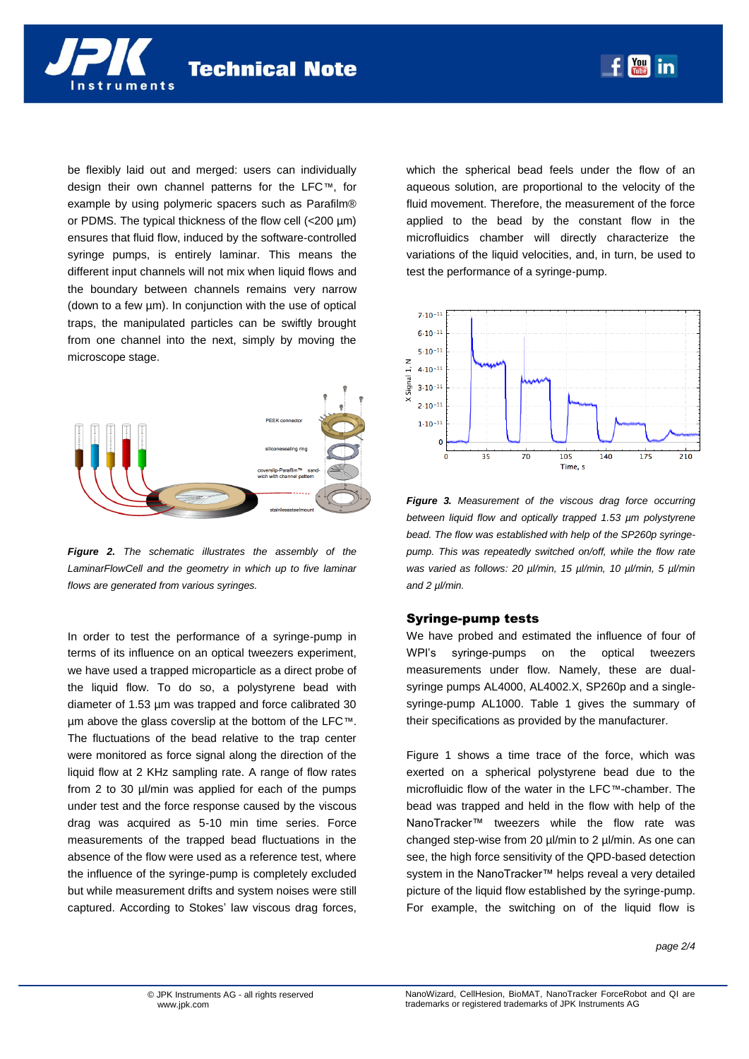

be flexibly laid out and merged: users can individually design their own channel patterns for the LFC*™*, for example by using polymeric spacers such as Parafilm® or PDMS. The typical thickness of the flow cell (<200 µm) ensures that fluid flow, induced by the software-controlled syringe pumps, is entirely laminar. This means the different input channels will not mix when liquid flows and the boundary between channels remains very narrow (down to a few µm). In conjunction with the use of optical traps, the manipulated particles can be swiftly brought from one channel into the next, simply by moving the microscope stage.



*Figure 2. The schematic illustrates the assembly of the LaminarFlowCell and the geometry in which up to five laminar flows are generated from various syringes.*

In order to test the performance of a syringe-pump in terms of its influence on an optical tweezers experiment, we have used a trapped microparticle as a direct probe of the liquid flow. To do so, a polystyrene bead with diameter of 1.53 µm was trapped and force calibrated 30 µm above the glass coverslip at the bottom of the LFC*™*. The fluctuations of the bead relative to the trap center were monitored as force signal along the direction of the liquid flow at 2 KHz sampling rate. A range of flow rates from 2 to 30 µl/min was applied for each of the pumps under test and the force response caused by the viscous drag was acquired as 5-10 min time series. Force measurements of the trapped bead fluctuations in the absence of the flow were used as a reference test, where the influence of the syringe-pump is completely excluded but while measurement drifts and system noises were still captured. According to Stokes' law viscous drag forces, which the spherical bead feels under the flow of an aqueous solution, are proportional to the velocity of the fluid movement. Therefore, the measurement of the force applied to the bead by the constant flow in the microfluidics chamber will directly characterize the variations of the liquid velocities, and, in turn, be used to test the performance of a syringe-pump.



*Figure 3. Measurement of the viscous drag force occurring between liquid flow and optically trapped 1.53 µm polystyrene bead. The flow was established with help of the SP260p syringepump. This was repeatedly switched on/off, while the flow rate was varied as follows: 20 µl/min, 15 µl/min, 10 µl/min, 5 µl/min and 2 µl/min.*

#### Syringe-pump tests

We have probed and estimated the influence of four of WPI's syringe-pumps on the optical tweezers measurements under flow. Namely, these are dualsyringe pumps AL4000, AL4002.X, SP260p and a singlesyringe-pump AL1000. Table 1 gives the summary of their specifications as provided by the manufacturer.

Figure 1 shows a time trace of the force, which was exerted on a spherical polystyrene bead due to the microfluidic flow of the water in the LFC*™*-chamber. The bead was trapped and held in the flow with help of the NanoTracker™ tweezers while the flow rate was changed step-wise from 20 µl/min to 2 µl/min. As one can see, the high force sensitivity of the QPD-based detection system in the NanoTracker™ helps reveal a very detailed picture of the liquid flow established by the syringe-pump. For example, the switching on of the liquid flow is

*page 2/4*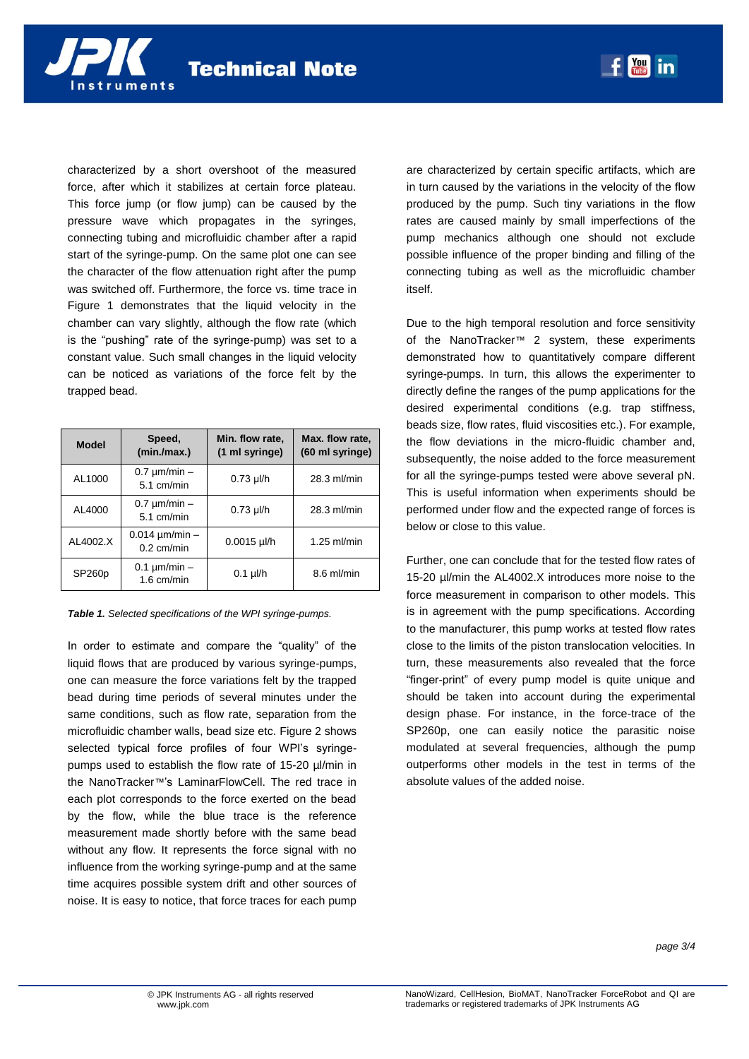characterized by a short overshoot of the measured force, after which it stabilizes at certain force plateau. This force jump (or flow jump) can be caused by the pressure wave which propagates in the syringes, connecting tubing and microfluidic chamber after a rapid start of the syringe-pump. On the same plot one can see the character of the flow attenuation right after the pump was switched off. Furthermore, the force vs. time trace in Figure 1 demonstrates that the liquid velocity in the chamber can vary slightly, although the flow rate (which is the "pushing" rate of the syringe-pump) was set to a constant value. Such small changes in the liquid velocity can be noticed as variations of the force felt by the trapped bead.

| <b>Model</b>       | Speed,<br>(min/max.)                | Min. flow rate,<br>(1 ml syringe) | Max. flow rate,<br>(60 ml syringe) |
|--------------------|-------------------------------------|-----------------------------------|------------------------------------|
| AL1000             | $0.7 \mu m/min -$<br>$5.1$ cm/min   | $0.73$ µl/h                       | 28.3 ml/min                        |
| AL4000             | $0.7 \mu m/min -$<br>$5.1$ cm/min   | $0.73$ µl/h                       | 28.3 ml/min                        |
| AL4002.X           | $0.014 \mu m/min -$<br>$0.2$ cm/min | $0.0015$ µl/h                     | $1.25$ ml/min                      |
| SP <sub>260p</sub> | $0.1 \mu m/min -$<br>$1.6$ cm/min   | $0.1$ µl/h                        | $8.6$ ml/min                       |

#### *Table 1. Selected specifications of the WPI syringe-pumps.*

In order to estimate and compare the "quality" of the liquid flows that are produced by various syringe-pumps, one can measure the force variations felt by the trapped bead during time periods of several minutes under the same conditions, such as flow rate, separation from the microfluidic chamber walls, bead size etc. Figure 2 shows selected typical force profiles of four WPI's syringepumps used to establish the flow rate of 15-20 µl/min in the NanoTracker*™*'s LaminarFlowCell. The red trace in each plot corresponds to the force exerted on the bead by the flow, while the blue trace is the reference measurement made shortly before with the same bead without any flow. It represents the force signal with no influence from the working syringe-pump and at the same time acquires possible system drift and other sources of noise. It is easy to notice, that force traces for each pump

are characterized by certain specific artifacts, which are in turn caused by the variations in the velocity of the flow produced by the pump. Such tiny variations in the flow rates are caused mainly by small imperfections of the pump mechanics although one should not exclude possible influence of the proper binding and filling of the connecting tubing as well as the microfluidic chamber itself.

Due to the high temporal resolution and force sensitivity of the NanoTracker*™* 2 system, these experiments demonstrated how to quantitatively compare different syringe-pumps. In turn, this allows the experimenter to directly define the ranges of the pump applications for the desired experimental conditions (e.g. trap stiffness, beads size, flow rates, fluid viscosities etc.). For example, the flow deviations in the micro-fluidic chamber and, subsequently, the noise added to the force measurement for all the syringe-pumps tested were above several pN. This is useful information when experiments should be performed under flow and the expected range of forces is below or close to this value.

Further, one can conclude that for the tested flow rates of 15-20 µl/min the AL4002.X introduces more noise to the force measurement in comparison to other models. This is in agreement with the pump specifications. According to the manufacturer, this pump works at tested flow rates close to the limits of the piston translocation velocities. In turn, these measurements also revealed that the force "finger-print" of every pump model is quite unique and should be taken into account during the experimental design phase. For instance, in the force-trace of the SP260p, one can easily notice the parasitic noise modulated at several frequencies, although the pump outperforms other models in the test in terms of the absolute values of the added noise.